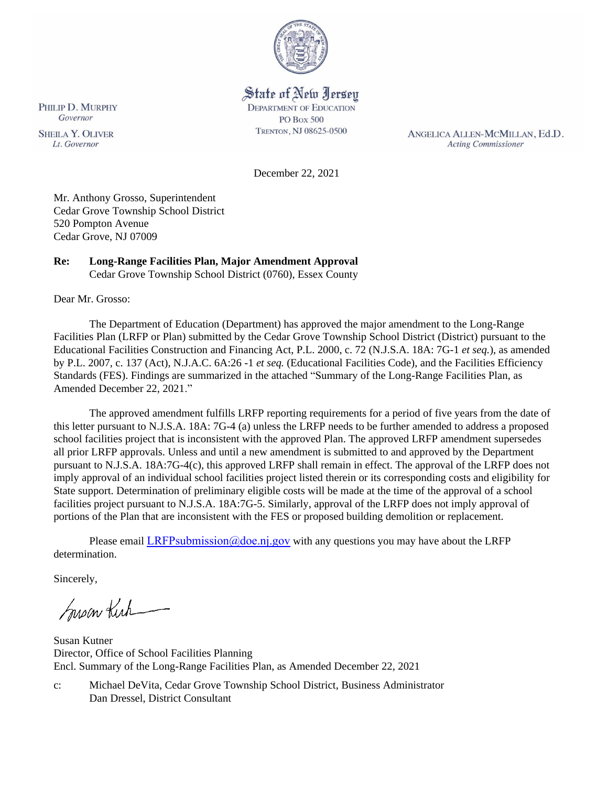

# State of New Jersey

**DEPARTMENT OF EDUCATION PO Box 500** TRENTON, NJ 08625-0500

ANGELICA ALLEN-MCMILLAN, Ed.D. **Acting Commissioner** 

December 22, 2021

Mr. Anthony Grosso, Superintendent Cedar Grove Township School District 520 Pompton Avenue Cedar Grove, NJ 07009

# **Re: Long-Range Facilities Plan, Major Amendment Approval**

Cedar Grove Township School District (0760), Essex County

Dear Mr. Grosso:

The Department of Education (Department) has approved the major amendment to the Long-Range Facilities Plan (LRFP or Plan) submitted by the Cedar Grove Township School District (District) pursuant to the Educational Facilities Construction and Financing Act, P.L. 2000, c. 72 (N.J.S.A. 18A: 7G-1 *et seq.*), as amended by P.L. 2007, c. 137 (Act), N.J.A.C. 6A:26 -1 *et seq.* (Educational Facilities Code), and the Facilities Efficiency Standards (FES). Findings are summarized in the attached "Summary of the Long-Range Facilities Plan, as Amended December 22, 2021."

The approved amendment fulfills LRFP reporting requirements for a period of five years from the date of this letter pursuant to N.J.S.A. 18A: 7G-4 (a) unless the LRFP needs to be further amended to address a proposed school facilities project that is inconsistent with the approved Plan. The approved LRFP amendment supersedes all prior LRFP approvals. Unless and until a new amendment is submitted to and approved by the Department pursuant to N.J.S.A. 18A:7G-4(c), this approved LRFP shall remain in effect. The approval of the LRFP does not imply approval of an individual school facilities project listed therein or its corresponding costs and eligibility for State support. Determination of preliminary eligible costs will be made at the time of the approval of a school facilities project pursuant to N.J.S.A. 18A:7G-5. Similarly, approval of the LRFP does not imply approval of portions of the Plan that are inconsistent with the FES or proposed building demolition or replacement.

Please email LRFPsubmission  $@doen$  i.gov with any questions you may have about the LRFP determination.

Sincerely,

Susan Kich

Susan Kutner Director, Office of School Facilities Planning Encl. Summary of the Long-Range Facilities Plan, as Amended December 22, 2021

c: Michael DeVita, Cedar Grove Township School District, Business Administrator Dan Dressel, District Consultant

PHILIP D. MURPHY Governor **SHEILA Y. OLIVER** 

Lt. Governor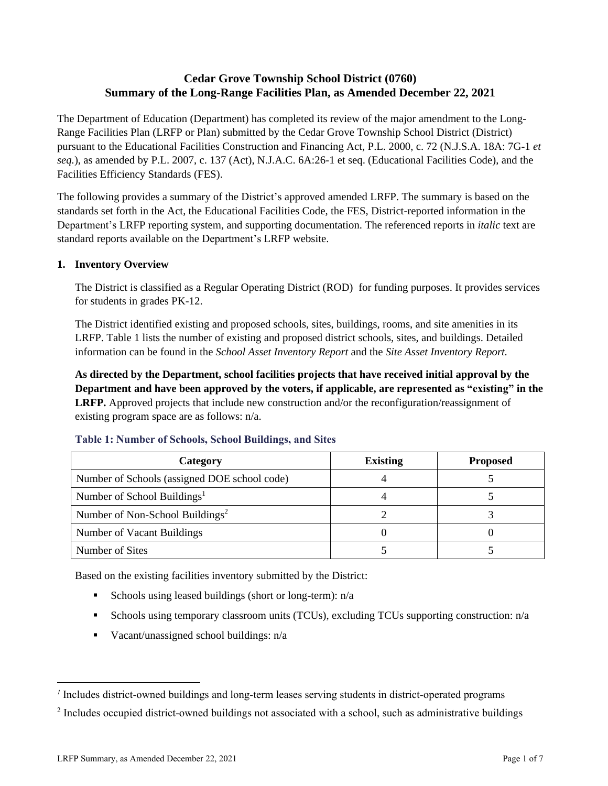# **Cedar Grove Township School District (0760) Summary of the Long-Range Facilities Plan, as Amended December 22, 2021**

The Department of Education (Department) has completed its review of the major amendment to the Long-Range Facilities Plan (LRFP or Plan) submitted by the Cedar Grove Township School District (District) pursuant to the Educational Facilities Construction and Financing Act, P.L. 2000, c. 72 (N.J.S.A. 18A: 7G-1 *et seq.*), as amended by P.L. 2007, c. 137 (Act), N.J.A.C. 6A:26-1 et seq. (Educational Facilities Code), and the Facilities Efficiency Standards (FES).

The following provides a summary of the District's approved amended LRFP. The summary is based on the standards set forth in the Act, the Educational Facilities Code, the FES, District-reported information in the Department's LRFP reporting system, and supporting documentation. The referenced reports in *italic* text are standard reports available on the Department's LRFP website.

#### **1. Inventory Overview**

The District is classified as a Regular Operating District (ROD) for funding purposes. It provides services for students in grades PK-12.

The District identified existing and proposed schools, sites, buildings, rooms, and site amenities in its LRFP. Table 1 lists the number of existing and proposed district schools, sites, and buildings. Detailed information can be found in the *School Asset Inventory Report* and the *Site Asset Inventory Report.*

**As directed by the Department, school facilities projects that have received initial approval by the Department and have been approved by the voters, if applicable, are represented as "existing" in the LRFP.** Approved projects that include new construction and/or the reconfiguration/reassignment of existing program space are as follows: n/a.

| Category                                     | <b>Existing</b> | <b>Proposed</b> |
|----------------------------------------------|-----------------|-----------------|
| Number of Schools (assigned DOE school code) |                 |                 |
| Number of School Buildings <sup>1</sup>      |                 |                 |
| Number of Non-School Buildings <sup>2</sup>  |                 |                 |
| Number of Vacant Buildings                   |                 |                 |
| Number of Sites                              |                 |                 |

#### **Table 1: Number of Schools, School Buildings, and Sites**

Based on the existing facilities inventory submitted by the District:

- **•** Schools using leased buildings (short or long-term):  $n/a$
- Schools using temporary classroom units (TCUs), excluding TCUs supporting construction: n/a
- $\blacksquare$  Vacant/unassigned school buildings:  $n/a$

*<sup>1</sup>* Includes district-owned buildings and long-term leases serving students in district-operated programs

 $2$  Includes occupied district-owned buildings not associated with a school, such as administrative buildings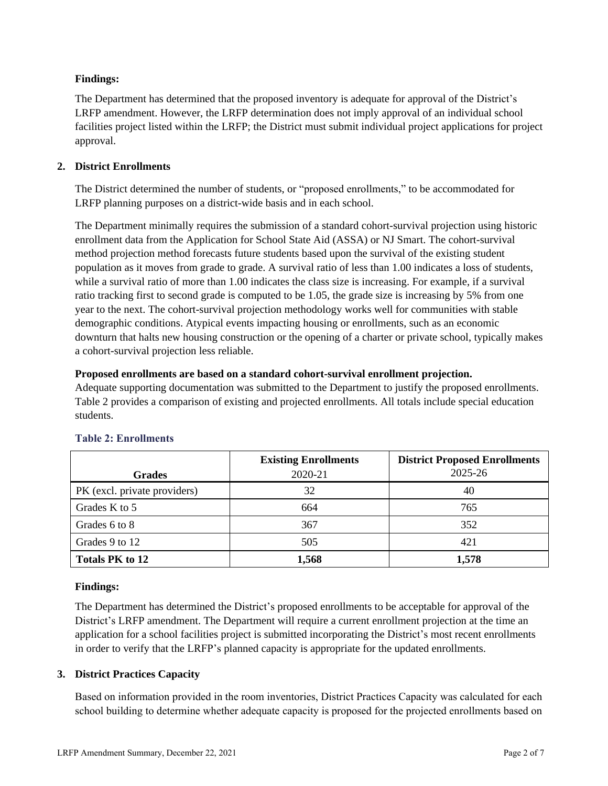## **Findings:**

The Department has determined that the proposed inventory is adequate for approval of the District's LRFP amendment. However, the LRFP determination does not imply approval of an individual school facilities project listed within the LRFP; the District must submit individual project applications for project approval.

## **2. District Enrollments**

The District determined the number of students, or "proposed enrollments," to be accommodated for LRFP planning purposes on a district-wide basis and in each school.

The Department minimally requires the submission of a standard cohort-survival projection using historic enrollment data from the Application for School State Aid (ASSA) or NJ Smart. The cohort-survival method projection method forecasts future students based upon the survival of the existing student population as it moves from grade to grade. A survival ratio of less than 1.00 indicates a loss of students, while a survival ratio of more than 1.00 indicates the class size is increasing. For example, if a survival ratio tracking first to second grade is computed to be 1.05, the grade size is increasing by 5% from one year to the next. The cohort-survival projection methodology works well for communities with stable demographic conditions. Atypical events impacting housing or enrollments, such as an economic downturn that halts new housing construction or the opening of a charter or private school, typically makes a cohort-survival projection less reliable.

## **Proposed enrollments are based on a standard cohort-survival enrollment projection.**

Adequate supporting documentation was submitted to the Department to justify the proposed enrollments. Table 2 provides a comparison of existing and projected enrollments. All totals include special education students.

|                              | <b>Existing Enrollments</b> | <b>District Proposed Enrollments</b> |
|------------------------------|-----------------------------|--------------------------------------|
| <b>Grades</b>                | 2020-21                     | 2025-26                              |
| PK (excl. private providers) | 32                          | 40                                   |
| Grades K to 5                | 664                         | 765                                  |
| Grades 6 to 8                | 367                         | 352                                  |
| Grades 9 to 12               | 505                         | 421                                  |
| <b>Totals PK to 12</b>       | 1,568                       | 1,578                                |

# **Table 2: Enrollments**

## **Findings:**

The Department has determined the District's proposed enrollments to be acceptable for approval of the District's LRFP amendment. The Department will require a current enrollment projection at the time an application for a school facilities project is submitted incorporating the District's most recent enrollments in order to verify that the LRFP's planned capacity is appropriate for the updated enrollments.

## **3. District Practices Capacity**

Based on information provided in the room inventories, District Practices Capacity was calculated for each school building to determine whether adequate capacity is proposed for the projected enrollments based on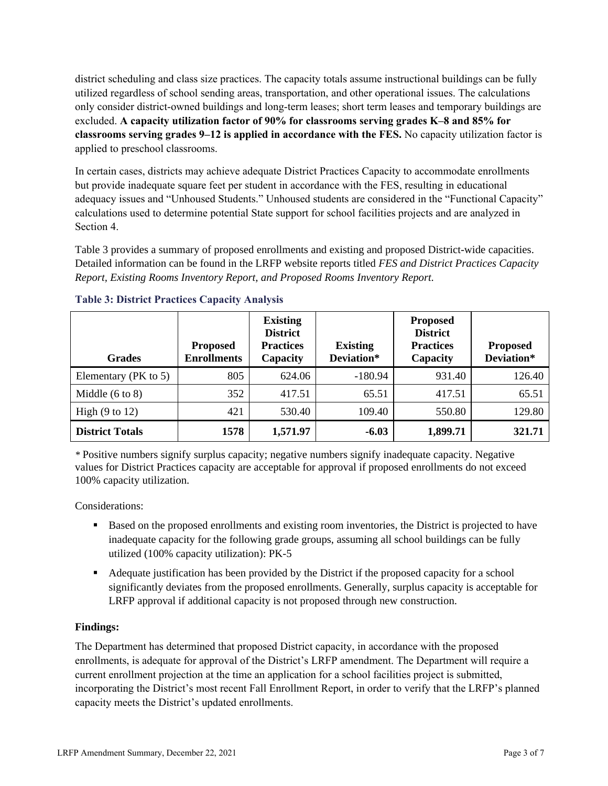district scheduling and class size practices. The capacity totals assume instructional buildings can be fully utilized regardless of school sending areas, transportation, and other operational issues. The calculations only consider district-owned buildings and long-term leases; short term leases and temporary buildings are excluded. **A capacity utilization factor of 90% for classrooms serving grades K–8 and 85% for classrooms serving grades 9–12 is applied in accordance with the FES.** No capacity utilization factor is applied to preschool classrooms.

In certain cases, districts may achieve adequate District Practices Capacity to accommodate enrollments but provide inadequate square feet per student in accordance with the FES, resulting in educational adequacy issues and "Unhoused Students." Unhoused students are considered in the "Functional Capacity" calculations used to determine potential State support for school facilities projects and are analyzed in Section 4.

Table 3 provides a summary of proposed enrollments and existing and proposed District-wide capacities. Detailed information can be found in the LRFP website reports titled *FES and District Practices Capacity Report, Existing Rooms Inventory Report, and Proposed Rooms Inventory Report.*

| <b>Grades</b>              | <b>Proposed</b><br><b>Enrollments</b> | <b>Existing</b><br><b>District</b><br><b>Practices</b><br>Capacity | <b>Existing</b><br>Deviation* | <b>Proposed</b><br><b>District</b><br><b>Practices</b><br>Capacity | <b>Proposed</b><br>Deviation* |
|----------------------------|---------------------------------------|--------------------------------------------------------------------|-------------------------------|--------------------------------------------------------------------|-------------------------------|
| Elementary (PK to 5)       | 805                                   | 624.06                                                             | $-180.94$                     | 931.40                                                             | 126.40                        |
| Middle $(6 \text{ to } 8)$ | 352                                   | 417.51                                                             | 65.51                         | 417.51                                                             | 65.51                         |
| High $(9 \text{ to } 12)$  | 421                                   | 530.40                                                             | 109.40                        | 550.80                                                             | 129.80                        |
| <b>District Totals</b>     | 1578                                  | 1,571.97                                                           | $-6.03$                       | 1,899.71                                                           | 321.71                        |

## **Table 3: District Practices Capacity Analysis**

*\** Positive numbers signify surplus capacity; negative numbers signify inadequate capacity. Negative values for District Practices capacity are acceptable for approval if proposed enrollments do not exceed 100% capacity utilization.

Considerations:

- Based on the proposed enrollments and existing room inventories, the District is projected to have inadequate capacity for the following grade groups, assuming all school buildings can be fully utilized (100% capacity utilization): PK-5
- Adequate justification has been provided by the District if the proposed capacity for a school significantly deviates from the proposed enrollments. Generally, surplus capacity is acceptable for LRFP approval if additional capacity is not proposed through new construction.

## **Findings:**

The Department has determined that proposed District capacity, in accordance with the proposed enrollments, is adequate for approval of the District's LRFP amendment. The Department will require a current enrollment projection at the time an application for a school facilities project is submitted, incorporating the District's most recent Fall Enrollment Report, in order to verify that the LRFP's planned capacity meets the District's updated enrollments.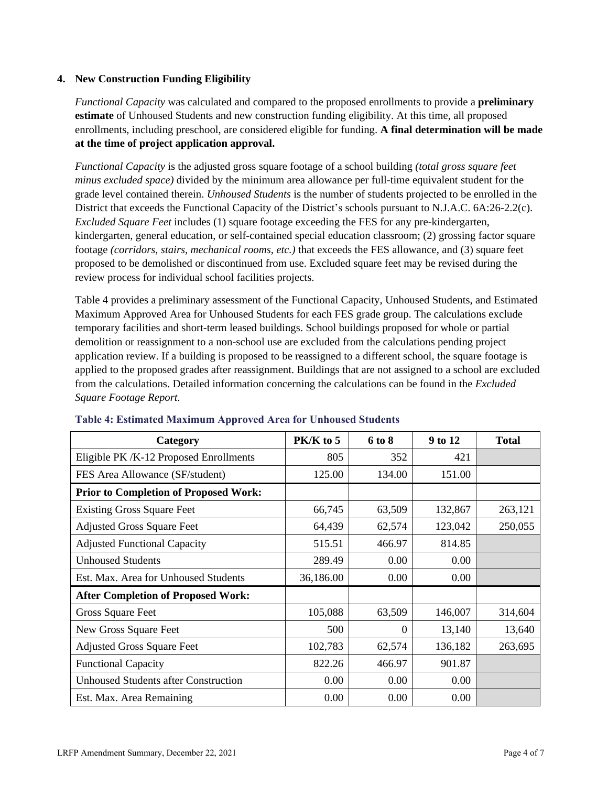#### **4. New Construction Funding Eligibility**

*Functional Capacity* was calculated and compared to the proposed enrollments to provide a **preliminary estimate** of Unhoused Students and new construction funding eligibility. At this time, all proposed enrollments, including preschool, are considered eligible for funding. **A final determination will be made at the time of project application approval.**

*Functional Capacity* is the adjusted gross square footage of a school building *(total gross square feet minus excluded space)* divided by the minimum area allowance per full-time equivalent student for the grade level contained therein. *Unhoused Students* is the number of students projected to be enrolled in the District that exceeds the Functional Capacity of the District's schools pursuant to N.J.A.C. 6A:26-2.2(c). *Excluded Square Feet* includes (1) square footage exceeding the FES for any pre-kindergarten, kindergarten, general education, or self-contained special education classroom; (2) grossing factor square footage *(corridors, stairs, mechanical rooms, etc.)* that exceeds the FES allowance, and (3) square feet proposed to be demolished or discontinued from use. Excluded square feet may be revised during the review process for individual school facilities projects.

Table 4 provides a preliminary assessment of the Functional Capacity, Unhoused Students, and Estimated Maximum Approved Area for Unhoused Students for each FES grade group. The calculations exclude temporary facilities and short-term leased buildings. School buildings proposed for whole or partial demolition or reassignment to a non-school use are excluded from the calculations pending project application review. If a building is proposed to be reassigned to a different school, the square footage is applied to the proposed grades after reassignment. Buildings that are not assigned to a school are excluded from the calculations. Detailed information concerning the calculations can be found in the *Excluded Square Footage Report.*

| Category                                     | PK/K to 5 | 6 to 8   | 9 to 12 | <b>Total</b> |
|----------------------------------------------|-----------|----------|---------|--------------|
| Eligible PK /K-12 Proposed Enrollments       | 805       | 352      | 421     |              |
| FES Area Allowance (SF/student)              | 125.00    | 134.00   | 151.00  |              |
| <b>Prior to Completion of Proposed Work:</b> |           |          |         |              |
| <b>Existing Gross Square Feet</b>            | 66,745    | 63,509   | 132,867 | 263,121      |
| <b>Adjusted Gross Square Feet</b>            | 64,439    | 62,574   | 123,042 | 250,055      |
| <b>Adjusted Functional Capacity</b>          | 515.51    | 466.97   | 814.85  |              |
| <b>Unhoused Students</b>                     | 289.49    | 0.00     | 0.00    |              |
| Est. Max. Area for Unhoused Students         | 36,186.00 | 0.00     | 0.00    |              |
| <b>After Completion of Proposed Work:</b>    |           |          |         |              |
| Gross Square Feet                            | 105,088   | 63,509   | 146,007 | 314,604      |
| New Gross Square Feet                        | 500       | $\Omega$ | 13,140  | 13,640       |
| <b>Adjusted Gross Square Feet</b>            | 102,783   | 62,574   | 136,182 | 263,695      |
| <b>Functional Capacity</b>                   | 822.26    | 466.97   | 901.87  |              |
| <b>Unhoused Students after Construction</b>  | 0.00      | 0.00     | 0.00    |              |
| Est. Max. Area Remaining                     | 0.00      | 0.00     | 0.00    |              |

## **Table 4: Estimated Maximum Approved Area for Unhoused Students**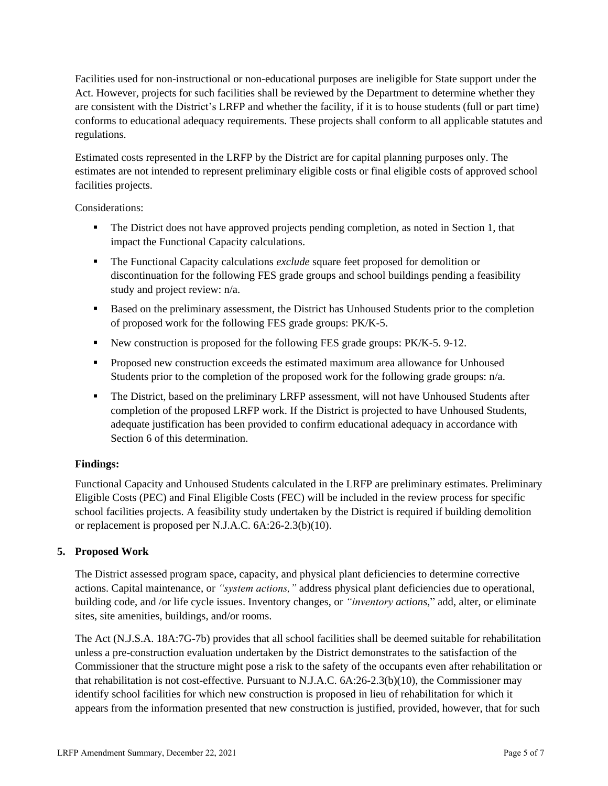Facilities used for non-instructional or non-educational purposes are ineligible for State support under the Act. However, projects for such facilities shall be reviewed by the Department to determine whether they are consistent with the District's LRFP and whether the facility, if it is to house students (full or part time) conforms to educational adequacy requirements. These projects shall conform to all applicable statutes and regulations.

Estimated costs represented in the LRFP by the District are for capital planning purposes only. The estimates are not intended to represent preliminary eligible costs or final eligible costs of approved school facilities projects.

Considerations:

- **•** The District does not have approved projects pending completion, as noted in Section 1, that impact the Functional Capacity calculations.
- The Functional Capacity calculations *exclude* square feet proposed for demolition or discontinuation for the following FES grade groups and school buildings pending a feasibility study and project review: n/a.
- Based on the preliminary assessment, the District has Unhoused Students prior to the completion of proposed work for the following FES grade groups: PK/K-5.
- New construction is proposed for the following FES grade groups: PK/K-5. 9-12.
- Proposed new construction exceeds the estimated maximum area allowance for Unhoused Students prior to the completion of the proposed work for the following grade groups: n/a.
- **•** The District, based on the preliminary LRFP assessment, will not have Unhoused Students after completion of the proposed LRFP work. If the District is projected to have Unhoused Students, adequate justification has been provided to confirm educational adequacy in accordance with Section 6 of this determination.

## **Findings:**

Functional Capacity and Unhoused Students calculated in the LRFP are preliminary estimates. Preliminary Eligible Costs (PEC) and Final Eligible Costs (FEC) will be included in the review process for specific school facilities projects. A feasibility study undertaken by the District is required if building demolition or replacement is proposed per N.J.A.C. 6A:26-2.3(b)(10).

## **5. Proposed Work**

The District assessed program space, capacity, and physical plant deficiencies to determine corrective actions. Capital maintenance, or *"system actions,"* address physical plant deficiencies due to operational, building code, and /or life cycle issues. Inventory changes, or *"inventory actions,*" add, alter, or eliminate sites, site amenities, buildings, and/or rooms.

The Act (N.J.S.A. 18A:7G-7b) provides that all school facilities shall be deemed suitable for rehabilitation unless a pre-construction evaluation undertaken by the District demonstrates to the satisfaction of the Commissioner that the structure might pose a risk to the safety of the occupants even after rehabilitation or that rehabilitation is not cost-effective. Pursuant to N.J.A.C. 6A:26-2.3(b)(10), the Commissioner may identify school facilities for which new construction is proposed in lieu of rehabilitation for which it appears from the information presented that new construction is justified, provided, however, that for such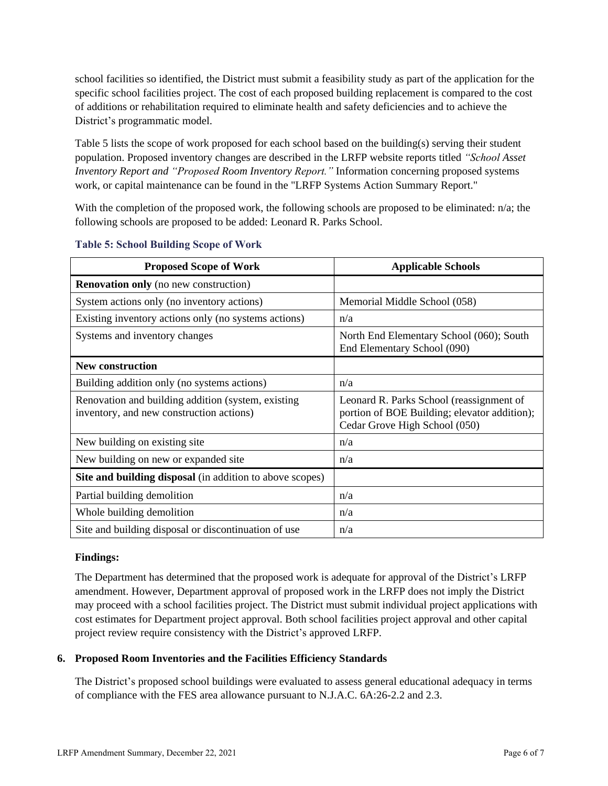school facilities so identified, the District must submit a feasibility study as part of the application for the specific school facilities project. The cost of each proposed building replacement is compared to the cost of additions or rehabilitation required to eliminate health and safety deficiencies and to achieve the District's programmatic model.

Table 5 lists the scope of work proposed for each school based on the building(s) serving their student population. Proposed inventory changes are described in the LRFP website reports titled *"School Asset Inventory Report and "Proposed Room Inventory Report."* Information concerning proposed systems work, or capital maintenance can be found in the "LRFP Systems Action Summary Report."

With the completion of the proposed work, the following schools are proposed to be eliminated: n/a; the following schools are proposed to be added: Leonard R. Parks School.

| <b>Proposed Scope of Work</b>                                                                  | <b>Applicable Schools</b>                                                                                                 |
|------------------------------------------------------------------------------------------------|---------------------------------------------------------------------------------------------------------------------------|
| <b>Renovation only</b> (no new construction)                                                   |                                                                                                                           |
| System actions only (no inventory actions)                                                     | Memorial Middle School (058)                                                                                              |
| Existing inventory actions only (no systems actions)                                           | n/a                                                                                                                       |
| Systems and inventory changes                                                                  | North End Elementary School (060); South<br>End Elementary School (090)                                                   |
| <b>New construction</b>                                                                        |                                                                                                                           |
| Building addition only (no systems actions)                                                    | n/a                                                                                                                       |
| Renovation and building addition (system, existing<br>inventory, and new construction actions) | Leonard R. Parks School (reassignment of<br>portion of BOE Building; elevator addition);<br>Cedar Grove High School (050) |
| New building on existing site                                                                  | n/a                                                                                                                       |
| New building on new or expanded site                                                           | n/a                                                                                                                       |
| Site and building disposal (in addition to above scopes)                                       |                                                                                                                           |
| Partial building demolition                                                                    | n/a                                                                                                                       |
| Whole building demolition                                                                      | n/a                                                                                                                       |
| Site and building disposal or discontinuation of use                                           | n/a                                                                                                                       |

#### **Table 5: School Building Scope of Work**

#### **Findings:**

The Department has determined that the proposed work is adequate for approval of the District's LRFP amendment. However, Department approval of proposed work in the LRFP does not imply the District may proceed with a school facilities project. The District must submit individual project applications with cost estimates for Department project approval. Both school facilities project approval and other capital project review require consistency with the District's approved LRFP.

#### **6. Proposed Room Inventories and the Facilities Efficiency Standards**

The District's proposed school buildings were evaluated to assess general educational adequacy in terms of compliance with the FES area allowance pursuant to N.J.A.C. 6A:26-2.2 and 2.3.